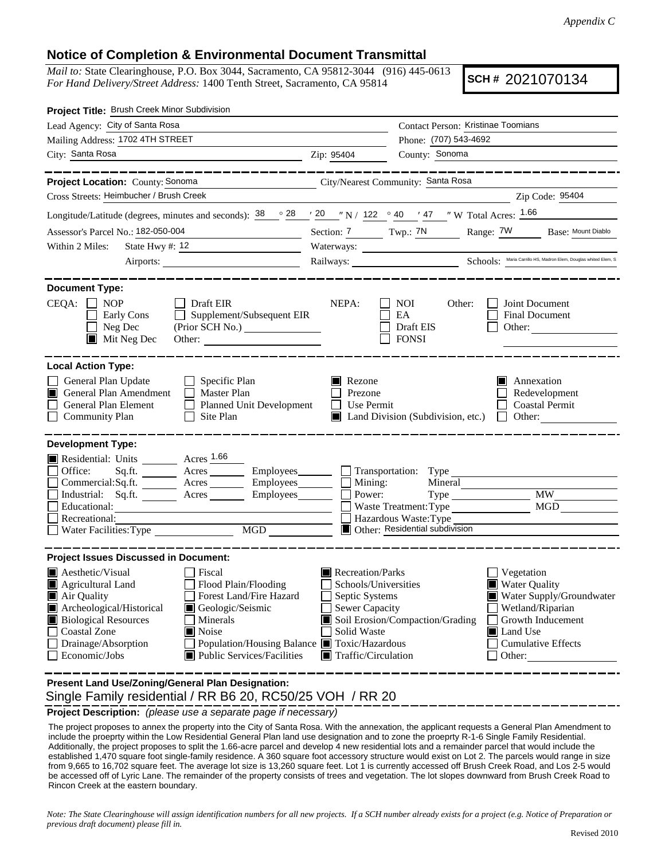## **Notice of Completion & Environmental Document Transmittal**

*Mail to:* State Clearinghouse, P.O. Box 3044, Sacramento, CA 95812-3044 (916) 445-0613 *For Hand Delivery/Street Address:* 1400 Tenth Street, Sacramento, CA 95814

**SCH #** 2021070134

| Project Title: Brush Creek Minor Subdivision                                                                                                                                                                                                                                                                                                      |                                                                                                                                                                                        |                                                                                             |                                                                                                                                                     |  |
|---------------------------------------------------------------------------------------------------------------------------------------------------------------------------------------------------------------------------------------------------------------------------------------------------------------------------------------------------|----------------------------------------------------------------------------------------------------------------------------------------------------------------------------------------|---------------------------------------------------------------------------------------------|-----------------------------------------------------------------------------------------------------------------------------------------------------|--|
| Lead Agency: City of Santa Rosa                                                                                                                                                                                                                                                                                                                   |                                                                                                                                                                                        | Contact Person: Kristinae Toomians                                                          |                                                                                                                                                     |  |
| Mailing Address: 1702 4TH STREET                                                                                                                                                                                                                                                                                                                  |                                                                                                                                                                                        |                                                                                             | Phone: (707) 543-4692                                                                                                                               |  |
| City: Santa Rosa<br><b>Example 2</b> September 2012 21 September 2014                                                                                                                                                                                                                                                                             |                                                                                                                                                                                        | County: Sonoma                                                                              |                                                                                                                                                     |  |
| ______________<br>Project Location: County: Sonoma                                                                                                                                                                                                                                                                                                |                                                                                                                                                                                        | City/Nearest Community: Santa Rosa                                                          | . _ _ _ _ _ _ _ _ _ _ _ _ _ _ _ _ _ _                                                                                                               |  |
| Cross Streets: Heimbucher / Brush Creek                                                                                                                                                                                                                                                                                                           |                                                                                                                                                                                        |                                                                                             | Zip Code: 95404                                                                                                                                     |  |
| Longitude/Latitude (degrees, minutes and seconds): $\frac{38}{28}$ $\frac{28}{28}$ $\frac{20}{28}$ $\frac{1}{20}$ N / 122 $\degree$ 40 $\degree$ 47 $\degree$ W Total Acres: $\frac{1.66}{20}$                                                                                                                                                    |                                                                                                                                                                                        |                                                                                             |                                                                                                                                                     |  |
| Assessor's Parcel No.: 182-050-004                                                                                                                                                                                                                                                                                                                |                                                                                                                                                                                        |                                                                                             | Section: 7 Twp.: 7N Range: 7W Base: Mount Diablo                                                                                                    |  |
| State Hwy #: $12$<br>Within 2 Miles:                                                                                                                                                                                                                                                                                                              |                                                                                                                                                                                        |                                                                                             |                                                                                                                                                     |  |
|                                                                                                                                                                                                                                                                                                                                                   |                                                                                                                                                                                        |                                                                                             | Railways: Schools: Maria Carrillo HS, Madron Elem, Douglas whited Elem, S.                                                                          |  |
| <b>Document Type:</b><br>$CEQA: \Box NP$<br>$\Box$ Draft EIR<br>Supplement/Subsequent EIR<br>Early Cons                                                                                                                                                                                                                                           | NEPA:                                                                                                                                                                                  | NOI<br>Other:<br>EA                                                                         | Joint Document<br><b>Final Document</b>                                                                                                             |  |
| Neg Dec<br>$\blacksquare$ Mit Neg Dec<br>Other: $\qquad \qquad$                                                                                                                                                                                                                                                                                   |                                                                                                                                                                                        | Draft EIS<br><b>FONSI</b>                                                                   | Other:                                                                                                                                              |  |
| General Plan Update<br>Specific Plan<br>General Plan Amendment<br>Master Plan<br>П<br>$\perp$<br>General Plan Element<br>Planned Unit Development<br><b>Community Plan</b><br>Site Plan                                                                                                                                                           | $\blacksquare$ Rezone<br>Prezone<br>$\Box$ Use Permit                                                                                                                                  | $\blacksquare$ Land Division (Subdivision, etc.)                                            | Annexation<br>Redevelopment<br><b>Coastal Permit</b><br>$\Box$ Other:                                                                               |  |
| <b>Development Type:</b><br>Residential: Units ________ Acres 1.66<br>Sq.ft. _________ Acres __________ Employees_________ ___ Transportation: Type __<br>Office:<br>Commercial:Sq.ft. _________ Acres __________ Employees________<br>Industrial: Sq.ft. <u>Acres</u> Acres Employees<br>Educational:<br>Recreational:<br>Water Facilities: Type | $\Box$ Mining:<br>Power:<br>$\begin{tabular}{ c c } \hline \text{MGD} & \text{---} \\ \hline \end{tabular}$                                                                            | Mineral<br>Waste Treatment: Type<br>Hazardous Waste: Type<br>Other: Residential subdivision | Type MW<br>MGD                                                                                                                                      |  |
| <b>Project Issues Discussed in Document:</b>                                                                                                                                                                                                                                                                                                      |                                                                                                                                                                                        |                                                                                             |                                                                                                                                                     |  |
| $\blacksquare$ Aesthetic/Visual<br>Fiscal<br>Agricultural Land<br>Flood Plain/Flooding<br>Air Quality<br>Forest Land/Fire Hazard<br>Archeological/Historical<br>Geologic/Seismic<br><b>Biological Resources</b><br>Minerals<br><b>Coastal Zone</b><br>Noise<br>Drainage/Absorption<br>Economic/Jobs<br>Public Services/Facilities                 | $\blacksquare$ Recreation/Parks<br>Schools/Universities<br>Septic Systems<br>Sewer Capacity<br>Solid Waste<br>Population/Housing Balance ■ Toxic/Hazardous<br>Traffic/Circulation<br>M | Soil Erosion/Compaction/Grading                                                             | Vegetation<br>Water Quality<br>Water Supply/Groundwater<br>Wetland/Riparian<br>Growth Inducement<br>Land Use<br><b>Cumulative Effects</b><br>Other: |  |
| Present Land Use/Zoning/General Plan Designation:                                                                                                                                                                                                                                                                                                 |                                                                                                                                                                                        |                                                                                             |                                                                                                                                                     |  |

ί Single Family residential / RR B6 20, RC50/25 VOH / RR 20

**Project Description:** *(please use a separate page if necessary)*

 The project proposes to annex the property into the City of Santa Rosa. With the annexation, the applicant requests a General Plan Amendment to include the proeprty within the Low Residential General Plan land use designation and to zone the proeprty R-1-6 Single Family Residential. Additionally, the project proposes to split the 1.66-acre parcel and develop 4 new residential lots and a remainder parcel that would include the established 1,470 square foot single-family residence. A 360 square foot accessory structure would exist on Lot 2. The parcels would range in size from 9,665 to 16,702 square feet. The average lot size is 13,260 square feet. Lot 1 is currently accessed off Brush Creek Road, and Los 2-5 would be accessed off of Lyric Lane. The remainder of the property consists of trees and vegetation. The lot slopes downward from Brush Creek Road to Rincon Creek at the eastern boundary.

*Note: The State Clearinghouse will assign identification numbers for all new projects. If a SCH number already exists for a project (e.g. Notice of Preparation or previous draft document) please fill in.*